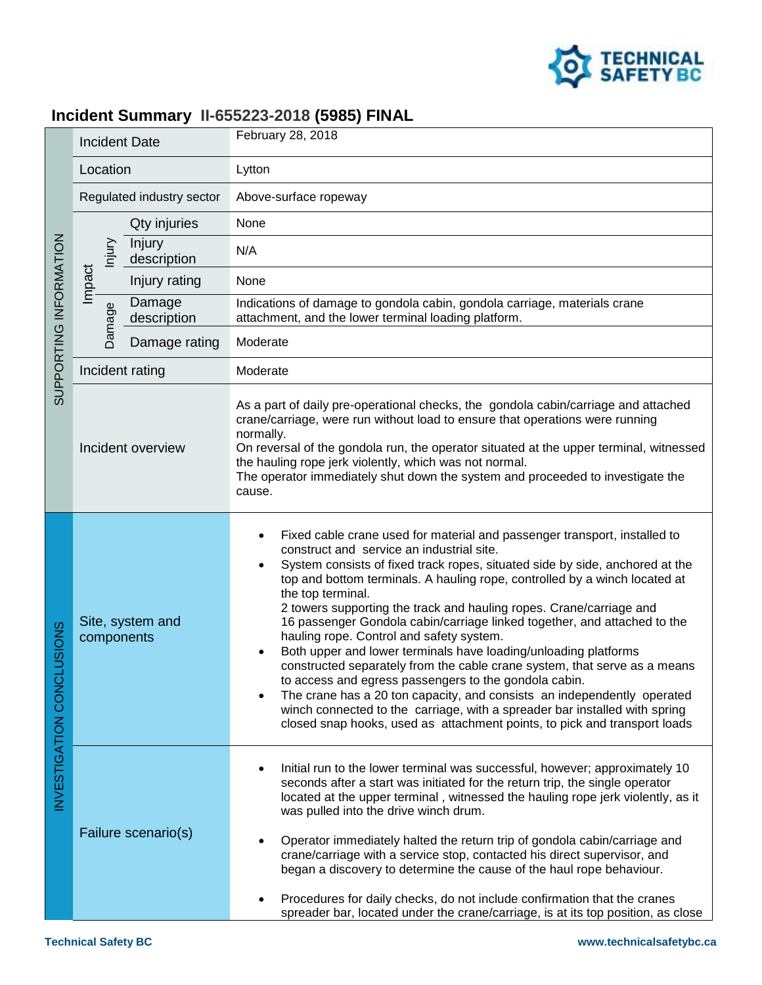

## **Incident Summary II-655223-2018 (5985) FINAL**

| SUPPORTING INFORMATION    | <b>Incident Date</b>           |                       | February 28, 2018                                                                                                                                                                                                                                                                                                                                                                                                                                                                                                                                                                                                                                                                                                                                                                                                                                                                                                                                       |
|---------------------------|--------------------------------|-----------------------|---------------------------------------------------------------------------------------------------------------------------------------------------------------------------------------------------------------------------------------------------------------------------------------------------------------------------------------------------------------------------------------------------------------------------------------------------------------------------------------------------------------------------------------------------------------------------------------------------------------------------------------------------------------------------------------------------------------------------------------------------------------------------------------------------------------------------------------------------------------------------------------------------------------------------------------------------------|
|                           | Location                       |                       | Lytton                                                                                                                                                                                                                                                                                                                                                                                                                                                                                                                                                                                                                                                                                                                                                                                                                                                                                                                                                  |
|                           | Regulated industry sector      |                       | Above-surface ropeway                                                                                                                                                                                                                                                                                                                                                                                                                                                                                                                                                                                                                                                                                                                                                                                                                                                                                                                                   |
|                           | lnjury<br>Impact<br>Damage     | Qty injuries          | None                                                                                                                                                                                                                                                                                                                                                                                                                                                                                                                                                                                                                                                                                                                                                                                                                                                                                                                                                    |
|                           |                                | Injury<br>description | N/A                                                                                                                                                                                                                                                                                                                                                                                                                                                                                                                                                                                                                                                                                                                                                                                                                                                                                                                                                     |
|                           |                                | Injury rating         | None                                                                                                                                                                                                                                                                                                                                                                                                                                                                                                                                                                                                                                                                                                                                                                                                                                                                                                                                                    |
|                           |                                | Damage<br>description | Indications of damage to gondola cabin, gondola carriage, materials crane<br>attachment, and the lower terminal loading platform.                                                                                                                                                                                                                                                                                                                                                                                                                                                                                                                                                                                                                                                                                                                                                                                                                       |
|                           |                                | Damage rating         | Moderate                                                                                                                                                                                                                                                                                                                                                                                                                                                                                                                                                                                                                                                                                                                                                                                                                                                                                                                                                |
|                           | Incident rating                |                       | Moderate                                                                                                                                                                                                                                                                                                                                                                                                                                                                                                                                                                                                                                                                                                                                                                                                                                                                                                                                                |
|                           | Incident overview              |                       | As a part of daily pre-operational checks, the gondola cabin/carriage and attached<br>crane/carriage, were run without load to ensure that operations were running<br>normally.<br>On reversal of the gondola run, the operator situated at the upper terminal, witnessed<br>the hauling rope jerk violently, which was not normal.<br>The operator immediately shut down the system and proceeded to investigate the<br>cause.                                                                                                                                                                                                                                                                                                                                                                                                                                                                                                                         |
| INVESTIGATION CONCLUSIONS | Site, system and<br>components |                       | Fixed cable crane used for material and passenger transport, installed to<br>construct and service an industrial site.<br>System consists of fixed track ropes, situated side by side, anchored at the<br>top and bottom terminals. A hauling rope, controlled by a winch located at<br>the top terminal.<br>2 towers supporting the track and hauling ropes. Crane/carriage and<br>16 passenger Gondola cabin/carriage linked together, and attached to the<br>hauling rope. Control and safety system.<br>Both upper and lower terminals have loading/unloading platforms<br>constructed separately from the cable crane system, that serve as a means<br>to access and egress passengers to the gondola cabin.<br>The crane has a 20 ton capacity, and consists an independently operated<br>winch connected to the carriage, with a spreader bar installed with spring<br>closed snap hooks, used as attachment points, to pick and transport loads |
|                           | Failure scenario(s)            |                       | Initial run to the lower terminal was successful, however; approximately 10<br>seconds after a start was initiated for the return trip, the single operator<br>located at the upper terminal, witnessed the hauling rope jerk violently, as it<br>was pulled into the drive winch drum.<br>Operator immediately halted the return trip of gondola cabin/carriage and<br>crane/carriage with a service stop, contacted his direct supervisor, and<br>began a discovery to determine the cause of the haul rope behaviour.<br>Procedures for daily checks, do not include confirmation that the cranes<br>spreader bar, located under the crane/carriage, is at its top position, as close                                                                                                                                                                                                                                                                |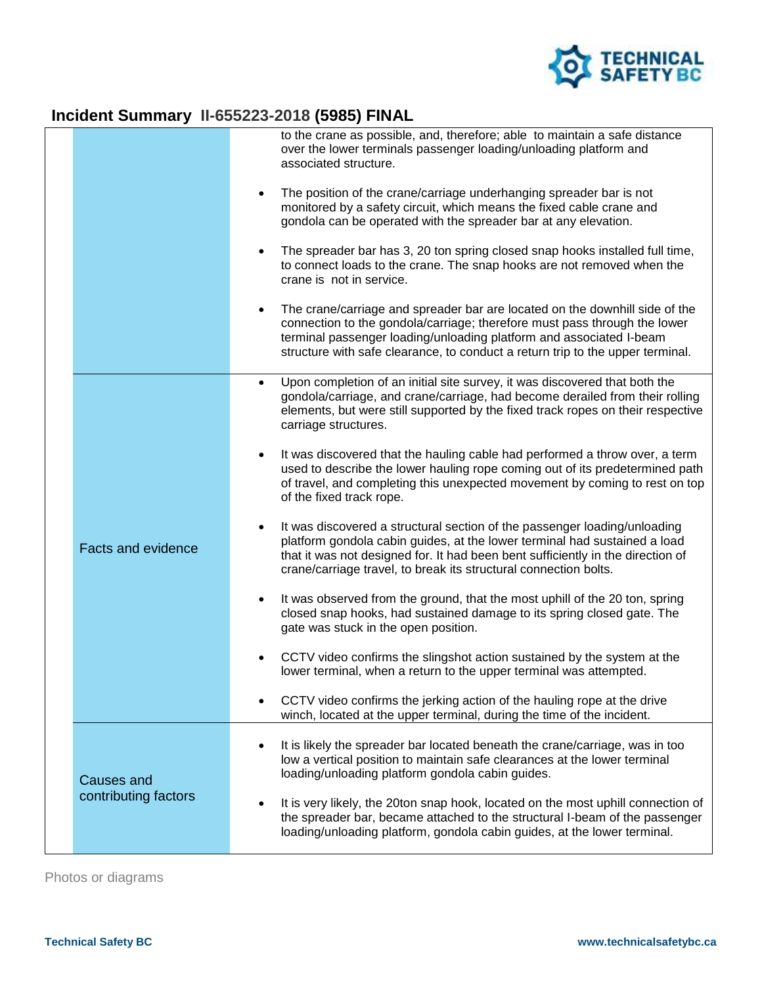

## **Incident Summary II-655223-2018 (5985) FINAL**

|                           | to the crane as possible, and, therefore; able to maintain a safe distance<br>over the lower terminals passenger loading/unloading platform and<br>associated structure.                                                                                                                                          |
|---------------------------|-------------------------------------------------------------------------------------------------------------------------------------------------------------------------------------------------------------------------------------------------------------------------------------------------------------------|
|                           | The position of the crane/carriage underhanging spreader bar is not<br>monitored by a safety circuit, which means the fixed cable crane and<br>gondola can be operated with the spreader bar at any elevation.                                                                                                    |
|                           | The spreader bar has 3, 20 ton spring closed snap hooks installed full time,<br>to connect loads to the crane. The snap hooks are not removed when the<br>crane is not in service.                                                                                                                                |
|                           | The crane/carriage and spreader bar are located on the downhill side of the<br>connection to the gondola/carriage; therefore must pass through the lower<br>terminal passenger loading/unloading platform and associated I-beam<br>structure with safe clearance, to conduct a return trip to the upper terminal. |
|                           | Upon completion of an initial site survey, it was discovered that both the<br>$\bullet$<br>gondola/carriage, and crane/carriage, had become derailed from their rolling<br>elements, but were still supported by the fixed track ropes on their respective<br>carriage structures.                                |
|                           | It was discovered that the hauling cable had performed a throw over, a term<br>٠<br>used to describe the lower hauling rope coming out of its predetermined path<br>of travel, and completing this unexpected movement by coming to rest on top<br>of the fixed track rope.                                       |
| <b>Facts and evidence</b> | It was discovered a structural section of the passenger loading/unloading<br>platform gondola cabin guides, at the lower terminal had sustained a load<br>that it was not designed for. It had been bent sufficiently in the direction of<br>crane/carriage travel, to break its structural connection bolts.     |
|                           | It was observed from the ground, that the most uphill of the 20 ton, spring<br>$\bullet$<br>closed snap hooks, had sustained damage to its spring closed gate. The<br>gate was stuck in the open position.                                                                                                        |
|                           | CCTV video confirms the slingshot action sustained by the system at the<br>lower terminal, when a return to the upper terminal was attempted.                                                                                                                                                                     |
|                           | CCTV video confirms the jerking action of the hauling rope at the drive<br>winch, located at the upper terminal, during the time of the incident.                                                                                                                                                                 |
| <b>Causes and</b>         | It is likely the spreader bar located beneath the crane/carriage, was in too<br>low a vertical position to maintain safe clearances at the lower terminal<br>loading/unloading platform gondola cabin guides.                                                                                                     |
| contributing factors      | It is very likely, the 20ton snap hook, located on the most uphill connection of<br>the spreader bar, became attached to the structural I-beam of the passenger<br>loading/unloading platform, gondola cabin guides, at the lower terminal.                                                                       |

Photos or diagrams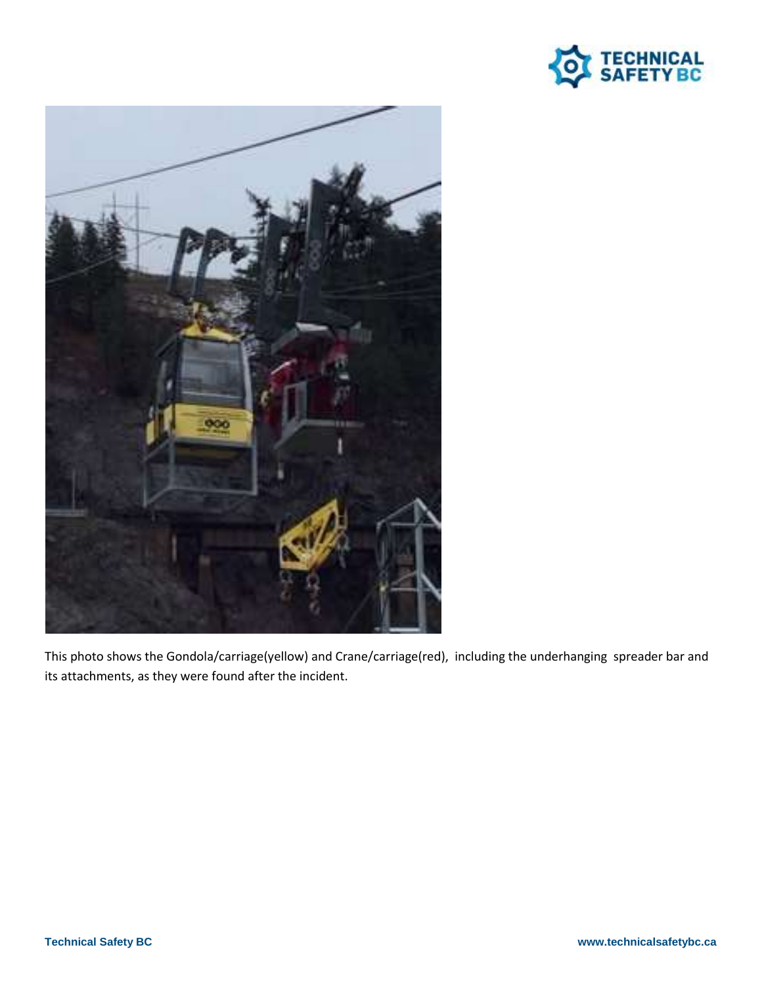



This photo shows the Gondola/carriage(yellow) and Crane/carriage(red), including the underhanging spreader bar and its attachments, as they were found after the incident.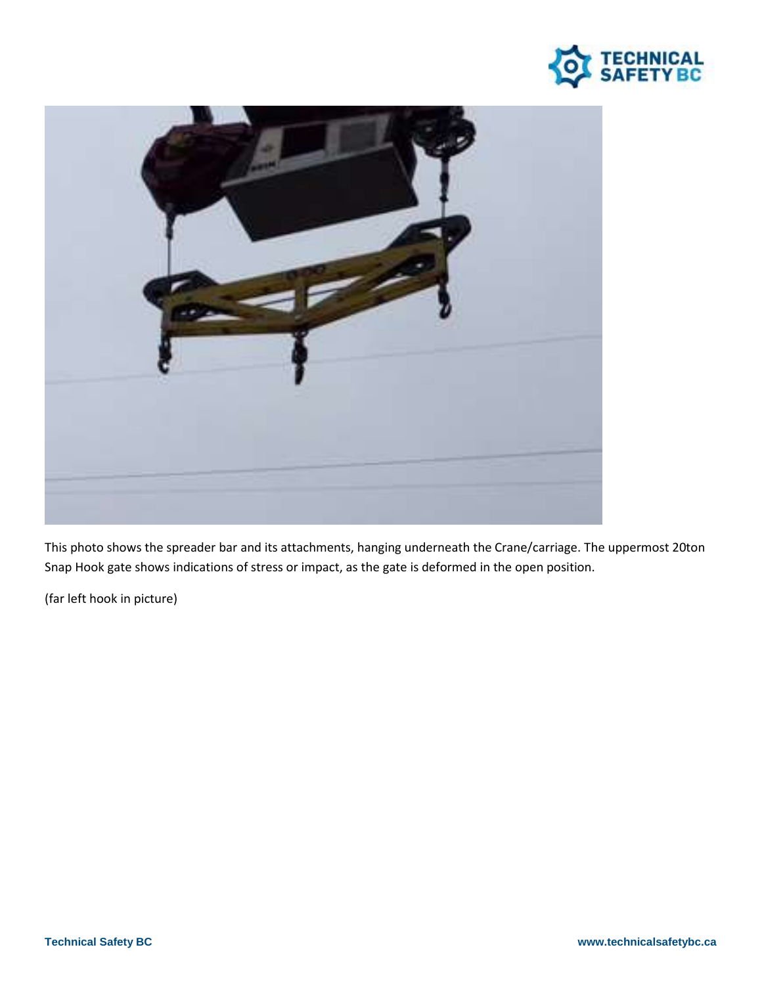



This photo shows the spreader bar and its attachments, hanging underneath the Crane/carriage. The uppermost 20ton Snap Hook gate shows indications of stress or impact, as the gate is deformed in the open position.

(far left hook in picture)